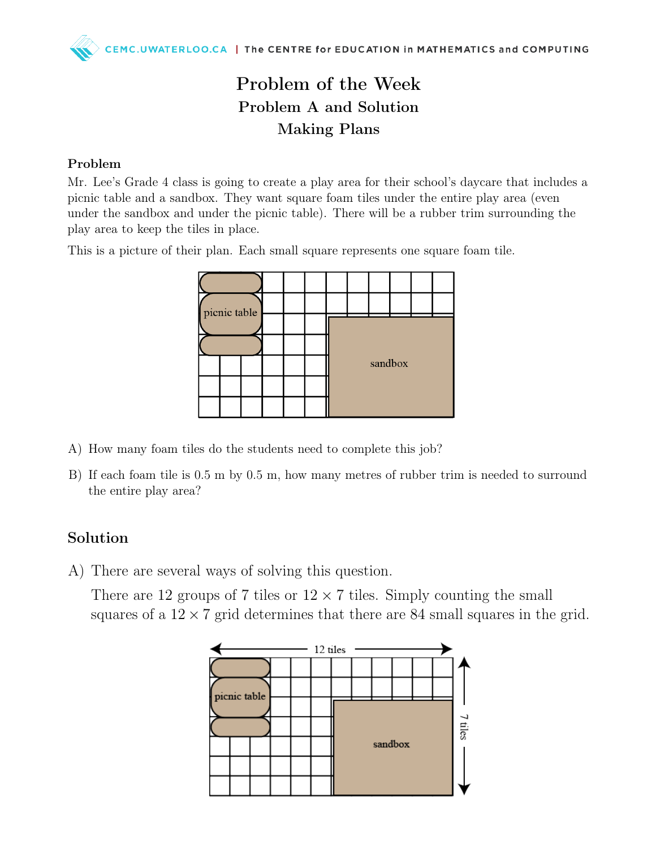## Problem of the Week Problem A and Solution Making Plans

#### Problem

Mr. Lee's Grade 4 class is going to create a play area for their school's daycare that includes a picnic table and a sandbox. They want square foam tiles under the entire play area (even under the sandbox and under the picnic table). There will be a rubber trim surrounding the play area to keep the tiles in place.

This is a picture of their plan. Each small square represents one square foam tile.

| picnic table |  |  |  |  |         |  |  |  |  |  |
|--------------|--|--|--|--|---------|--|--|--|--|--|
|              |  |  |  |  |         |  |  |  |  |  |
|              |  |  |  |  |         |  |  |  |  |  |
|              |  |  |  |  | sandbox |  |  |  |  |  |
|              |  |  |  |  |         |  |  |  |  |  |
|              |  |  |  |  |         |  |  |  |  |  |

- A) How many foam tiles do the students need to complete this job?
- B) If each foam tile is 0.5 m by 0.5 m, how many metres of rubber trim is needed to surround the entire play area?

#### Solution

A) There are several ways of solving this question.

There are 12 groups of 7 tiles or  $12 \times 7$  tiles. Simply counting the small squares of a  $12 \times 7$  grid determines that there are 84 small squares in the grid.

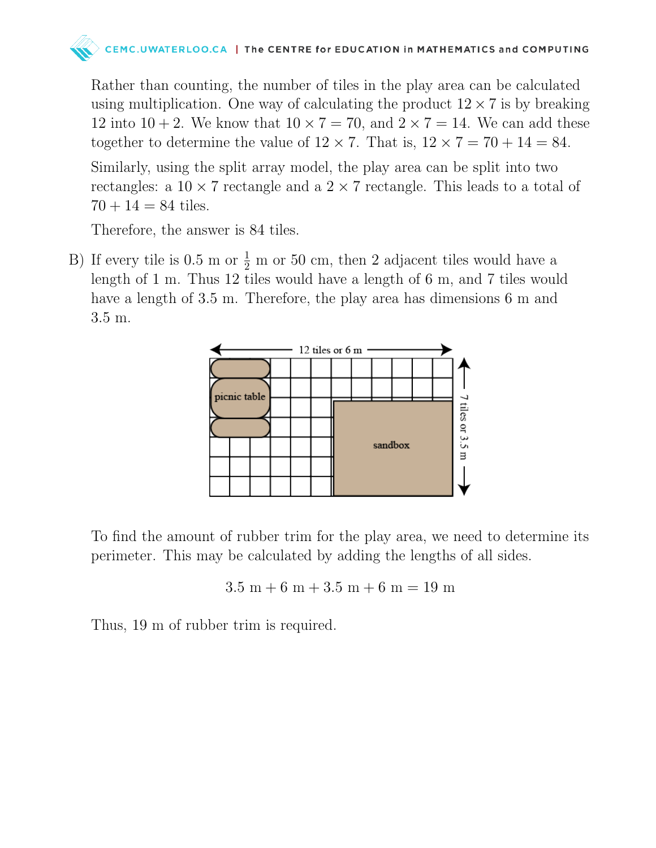# MC.UWATERLOO.CA | The CENTRE for EDUCATION in MATHEMATICS and COMPUTING

Rather than counting, the number of tiles in the play area can be calculated using multiplication. One way of calculating the product  $12 \times 7$  is by breaking 12 into  $10 + 2$ . We know that  $10 \times 7 = 70$ , and  $2 \times 7 = 14$ . We can add these together to determine the value of  $12 \times 7$ . That is,  $12 \times 7 = 70 + 14 = 84$ . Similarly, using the split array model, the play area can be split into two rectangles: a  $10 \times 7$  rectangle and a  $2 \times 7$  rectangle. This leads to a total of  $70 + 14 = 84$  tiles.

Therefore, the answer is 84 tiles.

B) If every tile is  $0.5 \text{ m or } \frac{1}{2} \text{ m or } 50 \text{ cm}$ , then 2 adjacent tiles would have a length of 1 m. Thus 12 tiles would have a length of 6 m, and 7 tiles would have a length of 3.5 m. Therefore, the play area has dimensions 6 m and 3.5 m.



To find the amount of rubber trim for the play area, we need to determine its perimeter. This may be calculated by adding the lengths of all sides.

$$
3.5\ \mathrm{m} + 6\ \mathrm{m} + 3.5\ \mathrm{m} + 6\ \mathrm{m} = 19\ \mathrm{m}
$$

Thus, 19 m of rubber trim is required.